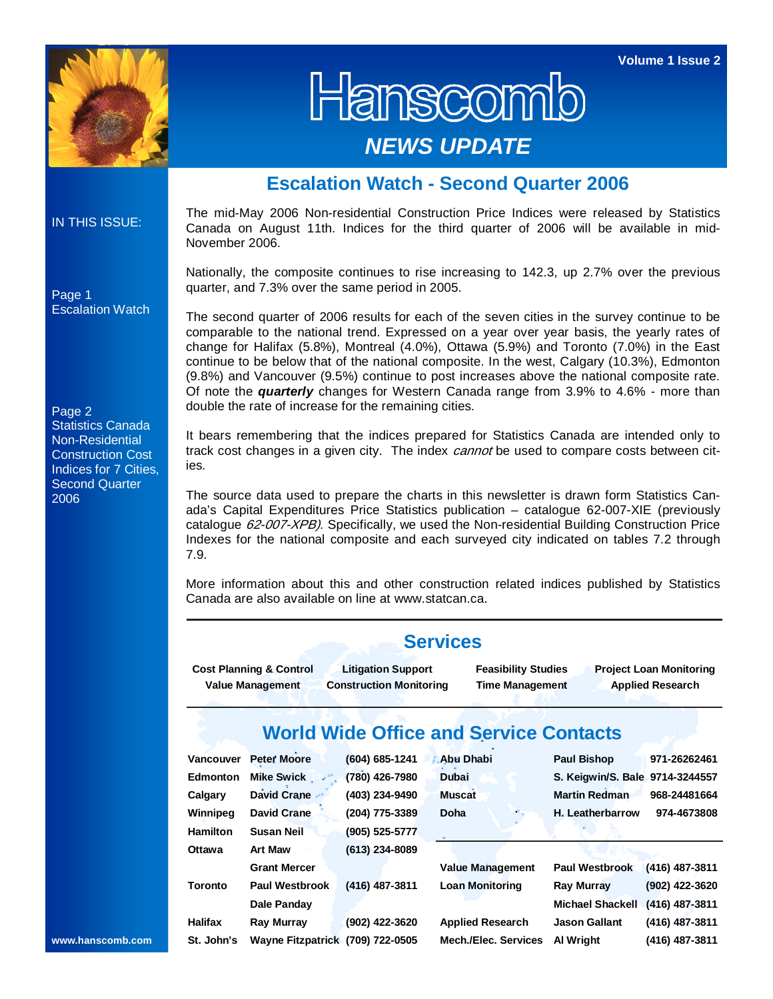

Hanscomb *NEWS UPDATE* 

## **Escalation Watch - Second Quarter 2006**

## IN THIS ISSUE:

The mid-May 2006 Non-residential Construction Price Indices were released by Statistics Canada on August 11th. Indices for the third quarter of 2006 will be available in mid-November 2006.

Nationally, the composite continues to rise increasing to 142.3, up 2.7% over the previous quarter, and 7.3% over the same period in 2005.

The second quarter of 2006 results for each of the seven cities in the survey continue to be comparable to the national trend. Expressed on a year over year basis, the yearly rates of change for Halifax (5.8%), Montreal (4.0%), Ottawa (5.9%) and Toronto (7.0%) in the East continue to be below that of the national composite. In the west, Calgary (10.3%), Edmonton (9.8%) and Vancouver (9.5%) continue to post increases above the national composite rate. Of note the *quarterly* changes for Western Canada range from 3.9% to 4.6% - more than double the rate of increase for the remaining cities.

It bears remembering that the indices prepared for Statistics Canada are intended only to track cost changes in a given city. The index cannot be used to compare costs between cities.

The source data used to prepare the charts in this newsletter is drawn form Statistics Canada's Capital Expenditures Price Statistics publication – catalogue 62-007-XIE (previously catalogue 62-007-XPB). Specifically, we used the Non-residential Building Construction Price Indexes for the national composite and each surveyed city indicated on tables 7.2 through 7.9.

More information about this and other construction related indices published by Statistics Canada are also available on line at www.statcan.ca.

|                 | <b>Services</b>                                                                                                                                                                                                                     |                    |                         |                                 |                  |  |  |  |  |  |  |  |  |  |
|-----------------|-------------------------------------------------------------------------------------------------------------------------------------------------------------------------------------------------------------------------------------|--------------------|-------------------------|---------------------------------|------------------|--|--|--|--|--|--|--|--|--|
|                 | <b>Cost Planning &amp; Control</b><br><b>Litigation Support</b><br><b>Feasibility Studies</b><br><b>Project Loan Monitoring</b><br>Value Management<br><b>Construction Monitoring</b><br><b>Applied Research</b><br>Time Management |                    |                         |                                 |                  |  |  |  |  |  |  |  |  |  |
|                 | <b>World Wide Office and Service Contacts</b>                                                                                                                                                                                       |                    |                         |                                 |                  |  |  |  |  |  |  |  |  |  |
| Vancouver       | Peter Moore                                                                                                                                                                                                                         | $(604) 685 - 1241$ | <b>Abu Dhabi</b>        | Paul Bishop                     | 971-26262461     |  |  |  |  |  |  |  |  |  |
| Edmonton        | Mike Swick                                                                                                                                                                                                                          | (780) 426-7980     | Dubai                   | S. Keigwin/S. Bale 9714-3244557 |                  |  |  |  |  |  |  |  |  |  |
| Calgary         | David Crane                                                                                                                                                                                                                         | (403) 234-9490     | <b>Muscat</b>           | <b>Martin Redman</b>            | 968-24481664     |  |  |  |  |  |  |  |  |  |
| Winnipeg        | David Crane                                                                                                                                                                                                                         | (204) 775-3389     | Doha                    | H. Leatherbarrow                | 974-4673808      |  |  |  |  |  |  |  |  |  |
| <b>Hamilton</b> | <b>Susan Neil</b>                                                                                                                                                                                                                   | (905) 525-5777     |                         |                                 |                  |  |  |  |  |  |  |  |  |  |
| Ottawa          | Art Maw                                                                                                                                                                                                                             | $(613)$ 234-8089   |                         |                                 |                  |  |  |  |  |  |  |  |  |  |
|                 | <b>Grant Mercer</b>                                                                                                                                                                                                                 |                    | <b>Value Management</b> | <b>Paul Westbrook</b>           | (416) 487-3811   |  |  |  |  |  |  |  |  |  |
| <b>Toronto</b>  | Paul Westbrook                                                                                                                                                                                                                      | $(416)$ 487-3811   | <b>Loan Monitoring</b>  | Ray Murray                      | (902) 422-3620   |  |  |  |  |  |  |  |  |  |
|                 | Dale Panday                                                                                                                                                                                                                         |                    |                         | Michael Shackell                | $(416)$ 487-3811 |  |  |  |  |  |  |  |  |  |
| <b>Halifax</b>  | Ray Murray                                                                                                                                                                                                                          | (902) 422-3620     | <b>Applied Research</b> | <b>Jason Gallant</b>            | $(416)$ 487-3811 |  |  |  |  |  |  |  |  |  |
| St. John's      | Wayne Fitzpatrick (709) 722-0505                                                                                                                                                                                                    |                    | Mech./Elec. Services    | Al Wright                       | (416) 487-3811   |  |  |  |  |  |  |  |  |  |

## Page 1 Escalation Watch

Page 2 Statistics Canada Non-Residential Construction Cost Indices for 7 Cities, Second Quarter 2006